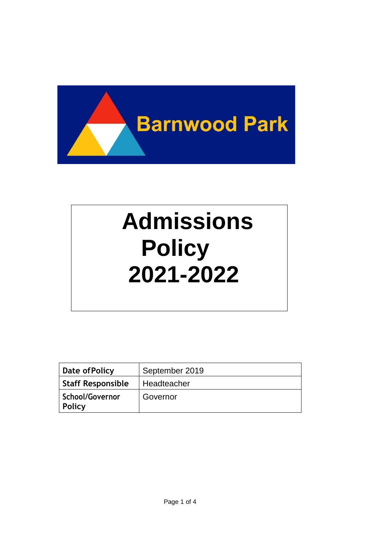

# **issions Admissions Policy Policy 2020-2021 2021-2022**

| Date of Policy                   | September 2019     |
|----------------------------------|--------------------|
| <b>Staff Responsible</b>         | <b>Headteacher</b> |
| <b>School/Governor</b><br>Policy | Governor           |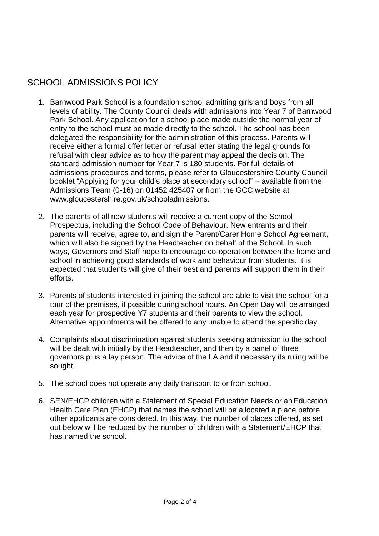# SCHOOL ADMISSIONS POLICY

- 1. Barnwood Park School is a foundation school admitting girls and boys from all levels of ability. The County Council deals with admissions into Year 7 of Barnwood Park School. Any application for a school place made outside the normal year of entry to the school must be made directly to the school. The school has been delegated the responsibility for the administration of this process. Parents will receive either a formal offer letter or refusal letter stating the legal grounds for refusal with clear advice as to how the parent may appeal the decision. The standard admission number for Year 7 is 180 students. For full details of admissions procedures and terms, please refer to Gloucestershire County Council booklet "Applying for your child's place at secondary school" – available from the Admissions Team (0-16) on 01452 425407 or from the GCC website a[t](http://www.gloucestershire.gov.uk/schooladmissions) [www.gloucestershire.gov.uk/schooladmissions.](http://www.gloucestershire.gov.uk/schooladmissions)
- 2. The parents of all new students will receive a current copy of the School Prospectus, including the School Code of Behaviour. New entrants and their parents will receive, agree to, and sign the Parent/Carer Home School Agreement, which will also be signed by the Headteacher on behalf of the School. In such ways, Governors and Staff hope to encourage co-operation between the home and school in achieving good standards of work and behaviour from students. It is expected that students will give of their best and parents will support them in their efforts.
- 3. Parents of students interested in joining the school are able to visit the school for a tour of the premises, if possible during school hours. An Open Day will be arranged each year for prospective Y7 students and their parents to view the school. Alternative appointments will be offered to any unable to attend the specific day.
- 4. Complaints about discrimination against students seeking admission to the school will be dealt with initially by the Headteacher, and then by a panel of three governors plus a lay person. The advice of the LA and if necessary its ruling will be sought.
- 5. The school does not operate any daily transport to or from school.
- 6. SEN/EHCP children with a Statement of Special Education Needs or anEducation Health Care Plan (EHCP) that names the school will be allocated a place before other applicants are considered. In this way, the number of places offered, as set out below will be reduced by the number of children with a Statement/EHCP that has named the school.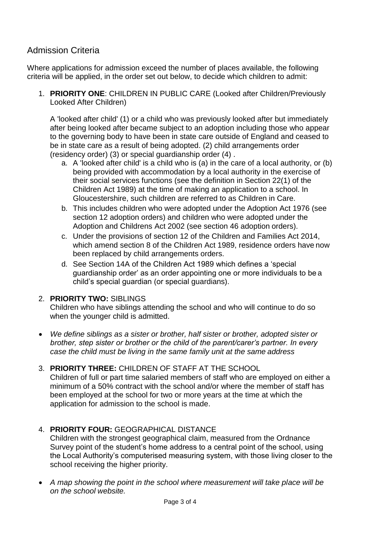# Admission Criteria

Where applications for admission exceed the number of places available, the following criteria will be applied, in the order set out below, to decide which children to admit:

1. **PRIORITY ONE**: CHILDREN IN PUBLIC CARE (Looked after Children/Previously Looked After Children)

A 'looked after child' (1) or a child who was previously looked after but immediately after being looked after became subject to an adoption including those who appear to the governing body to have been in state care outside of England and ceased to be in state care as a result of being adopted. (2) child arrangements order (residency order) (3) or special guardianship order (4) .

- a. A 'looked after child' is a child who is (a) in the care of a local authority, or (b) being provided with accommodation by a local authority in the exercise of their social services functions (see the definition in Section 22(1) of the Children Act 1989) at the time of making an application to a school. In Gloucestershire, such children are referred to as Children in Care.
- b. This includes children who were adopted under the Adoption Act 1976 (see section 12 adoption orders) and children who were adopted under the Adoption and Childrens Act 2002 (see section 46 adoption orders).
- c. Under the provisions of section 12 of the Children and Families Act 2014, which amend section 8 of the Children Act 1989, residence orders have now been replaced by child arrangements orders.
- d. See Section 14A of the Children Act 1989 which defines a 'special guardianship order' as an order appointing one or more individuals to be a child's special guardian (or special guardians).

#### 2. **PRIORITY TWO:** SIBLINGS

Children who have siblings attending the school and who will continue to do so when the younger child is admitted.

- *We define siblings as a sister or brother, half sister or brother, adopted sister or brother, step sister or brother or the child of the parent/carer's partner. In every case the child must be living in the same family unit at the same address*
- 3. **PRIORITY THREE:** CHILDREN OF STAFF AT THE SCHOOL Children of full or part time salaried members of staff who are employed on either a minimum of a 50% contract with the school and/or where the member of staff has been employed at the school for two or more years at the time at which the application for admission to the school is made.

## 4. **PRIORITY FOUR:** GEOGRAPHICAL DISTANCE

Children with the strongest geographical claim, measured from the Ordnance Survey point of the student's home address to a central point of the school, using the Local Authority's computerised measuring system, with those living closer to the school receiving the higher priority.

 *A map showing the point in the school where measurement will take place will be on the school website.*